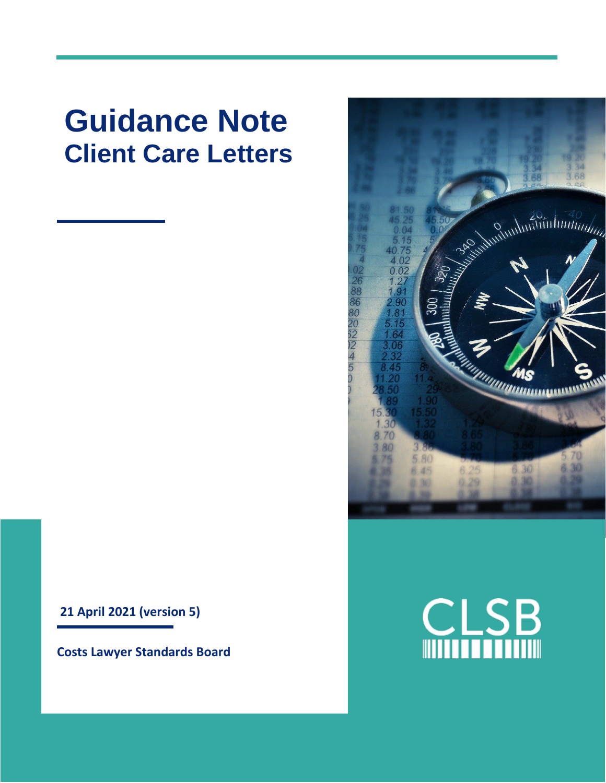# **Guidance Note Client Care Letters**

**21 April 2021 (version 5)**

**Costs Lawyer Standards Board**



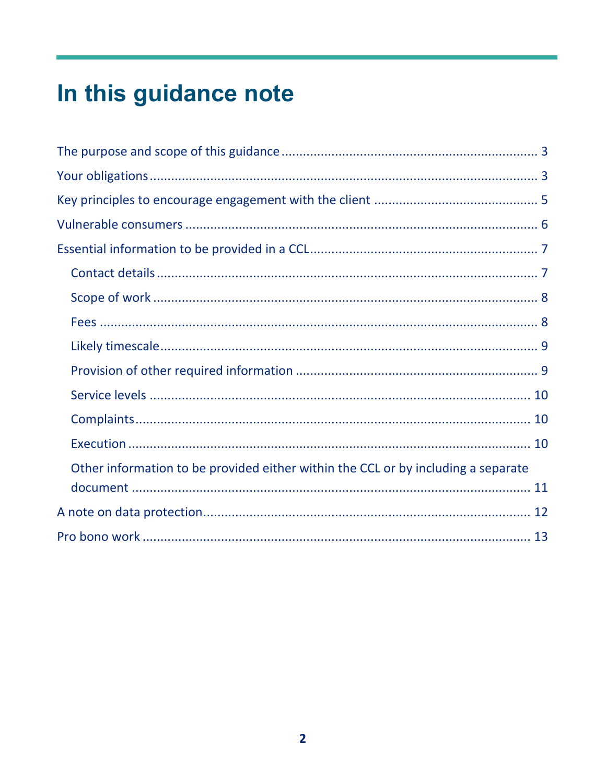# In this guidance note

| Other information to be provided either within the CCL or by including a separate |
|-----------------------------------------------------------------------------------|
|                                                                                   |
|                                                                                   |
|                                                                                   |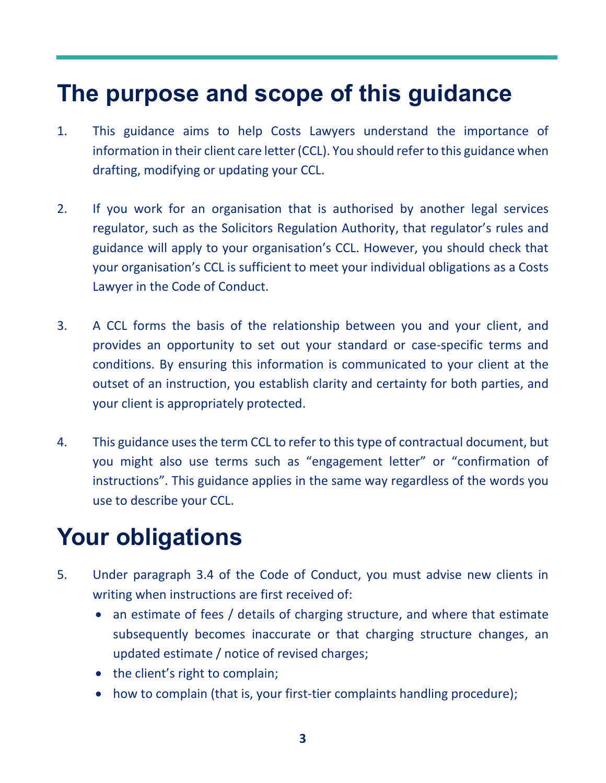### <span id="page-2-0"></span>**The purpose and scope of this guidance**

- 1. This guidance aims to help Costs Lawyers understand the importance of information in their client care letter (CCL). You should refer to this guidance when drafting, modifying or updating your CCL.
- 2. If you work for an organisation that is authorised by another legal services regulator, such as the Solicitors Regulation Authority, that regulator's rules and guidance will apply to your organisation's CCL. However, you should check that your organisation's CCL is sufficient to meet your individual obligations as a Costs Lawyer in the Code of Conduct.
- 3. A CCL forms the basis of the relationship between you and your client, and provides an opportunity to set out your standard or case-specific terms and conditions. By ensuring this information is communicated to your client at the outset of an instruction, you establish clarity and certainty for both parties, and your client is appropriately protected.
- 4. This guidance uses the term CCL to refer to this type of contractual document, but you might also use terms such as "engagement letter" or "confirmation of instructions". This guidance applies in the same way regardless of the words you use to describe your CCL.

## <span id="page-2-1"></span>**Your obligations**

- 5. Under paragraph 3.4 of the Code of Conduct, you must advise new clients in writing when instructions are first received of:
	- an estimate of fees / details of charging structure, and where that estimate subsequently becomes inaccurate or that charging structure changes, an updated estimate / notice of revised charges;
	- the client's right to complain;
	- how to complain (that is, your first-tier complaints handling procedure);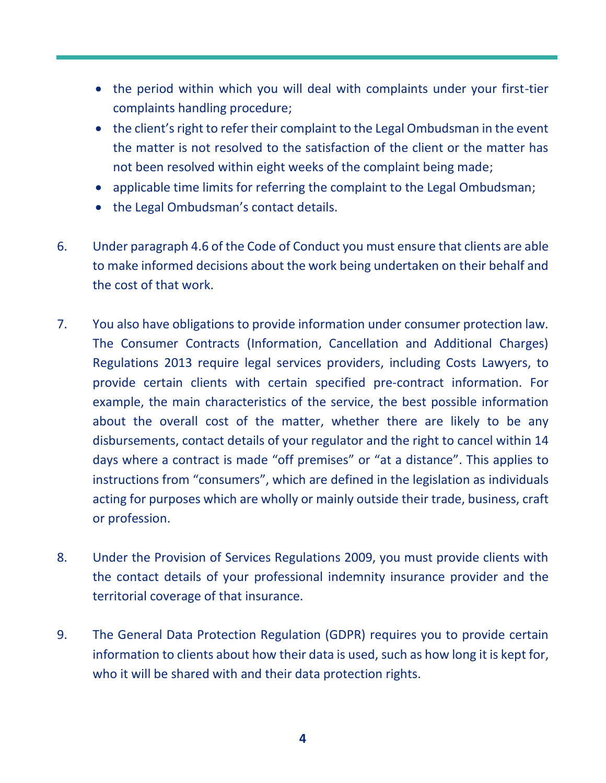- the period within which you will deal with complaints under your first-tier complaints handling procedure;
- the client's right to refer their complaint to the Legal Ombudsman in the event the matter is not resolved to the satisfaction of the client or the matter has not been resolved within eight weeks of the complaint being made;
- applicable time limits for referring the complaint to the Legal Ombudsman;
- the Legal Ombudsman's contact details.
- 6. Under paragraph 4.6 of the Code of Conduct you must ensure that clients are able to make informed decisions about the work being undertaken on their behalf and the cost of that work.
- 7. You also have obligations to provide information under consumer protection law. The Consumer Contracts (Information, Cancellation and Additional Charges) Regulations 2013 require legal services providers, including Costs Lawyers, to provide certain clients with certain specified pre-contract information. For example, the main characteristics of the service, the best possible information about the overall cost of the matter, whether there are likely to be any disbursements, contact details of your regulator and the right to cancel within 14 days where a contract is made "off premises" or "at a distance". This applies to instructions from "consumers", which are defined in the legislation as individuals acting for purposes which are wholly or mainly outside their trade, business, craft or profession.
- 8. Under the Provision of Services Regulations 2009, you must provide clients with the contact details of your professional indemnity insurance provider and the territorial coverage of that insurance.
- 9. The General Data Protection Regulation (GDPR) requires you to provide certain information to clients about how their data is used, such as how long it is kept for, who it will be shared with and their data protection rights.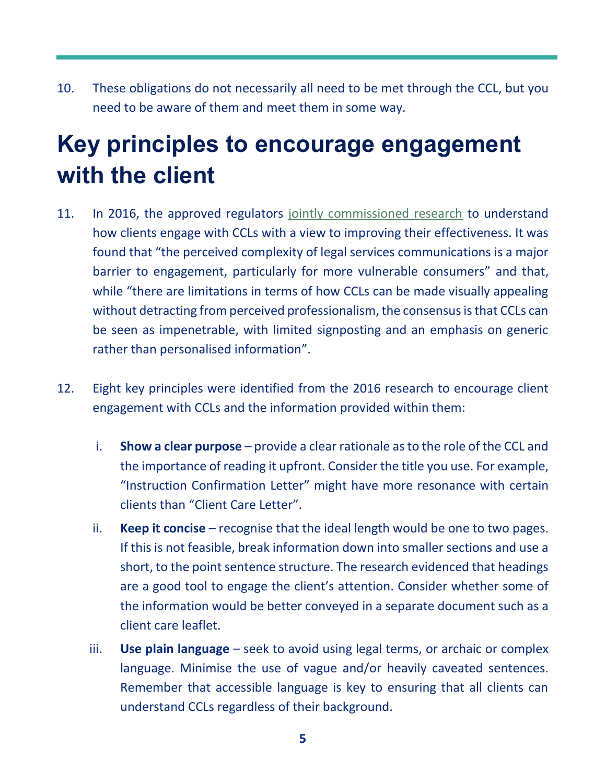10. These obligations do not necessarily all need to be met through the CCL, but you need to be aware of them and meet them in some way.

## <span id="page-4-0"></span>**Key principles to encourage engagement with the client**

- 11. In 2016, the approved regulators [jointly commissioned research](https://www.legalservicesconsumerpanel.org.uk/publications/research_and_reports/documents/Client%20Care%20Letters%20Research%20Report%20-%20FINAL%20201016.pdf) to understand how clients engage with CCLs with a view to improving their effectiveness. It was found that "the perceived complexity of legal services communications is a major barrier to engagement, particularly for more vulnerable consumers" and that, while "there are limitations in terms of how CCLs can be made visually appealing without detracting from perceived professionalism, the consensus is that CCLs can be seen as impenetrable, with limited signposting and an emphasis on generic rather than personalised information".
- 12. Eight key principles were identified from the 2016 research to encourage client engagement with CCLs and the information provided within them:
	- i. **Show a clear purpose** provide a clear rationale as to the role of the CCL and the importance of reading it upfront. Consider the title you use. For example, "Instruction Confirmation Letter" might have more resonance with certain clients than "Client Care Letter".
	- ii. **Keep it concise** recognise that the ideal length would be one to two pages. If this is not feasible, break information down into smaller sections and use a short, to the point sentence structure. The research evidenced that headings are a good tool to engage the client's attention. Consider whether some of the information would be better conveyed in a separate document such as a client care leaflet.
	- iii. **Use plain language** seek to avoid using legal terms, or archaic or complex language. Minimise the use of vague and/or heavily caveated sentences. Remember that accessible language is key to ensuring that all clients can understand CCLs regardless of their background.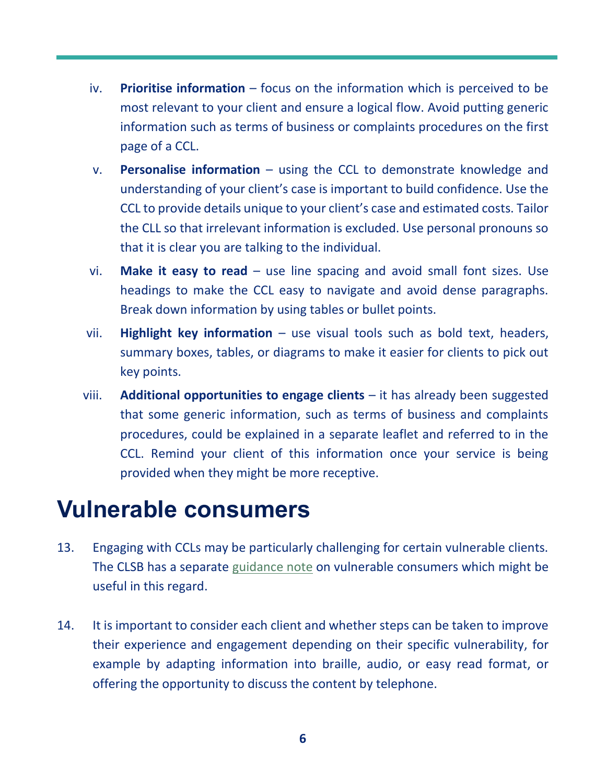- iv. **Prioritise information** focus on the information which is perceived to be most relevant to your client and ensure a logical flow. Avoid putting generic information such as terms of business or complaints procedures on the first page of a CCL.
- v. **Personalise information** using the CCL to demonstrate knowledge and understanding of your client's case is important to build confidence. Use the CCL to provide details unique to your client's case and estimated costs. Tailor the CLL so that irrelevant information is excluded. Use personal pronouns so that it is clear you are talking to the individual.
- vi. **Make it easy to read** use line spacing and avoid small font sizes. Use headings to make the CCL easy to navigate and avoid dense paragraphs. Break down information by using tables or bullet points.
- vii. **Highlight key information** use visual tools such as bold text, headers, summary boxes, tables, or diagrams to make it easier for clients to pick out key points.
- viii. **Additional opportunities to engage clients** it has already been suggested that some generic information, such as terms of business and complaints procedures, could be explained in a separate leaflet and referred to in the CCL. Remind your client of this information once your service is being provided when they might be more receptive.

### <span id="page-5-0"></span>**Vulnerable consumers**

- 13. Engaging with CCLs may be particularly challenging for certain vulnerable clients. The CLSB has a separate [guidance](https://clsb.info/for-costs-lawyers/costs-lawyer-handbook/) note on vulnerable consumers which might be useful in this regard.
- 14. It is important to consider each client and whether steps can be taken to improve their experience and engagement depending on their specific vulnerability, for example by adapting information into braille, audio, or easy read format, or offering the opportunity to discuss the content by telephone.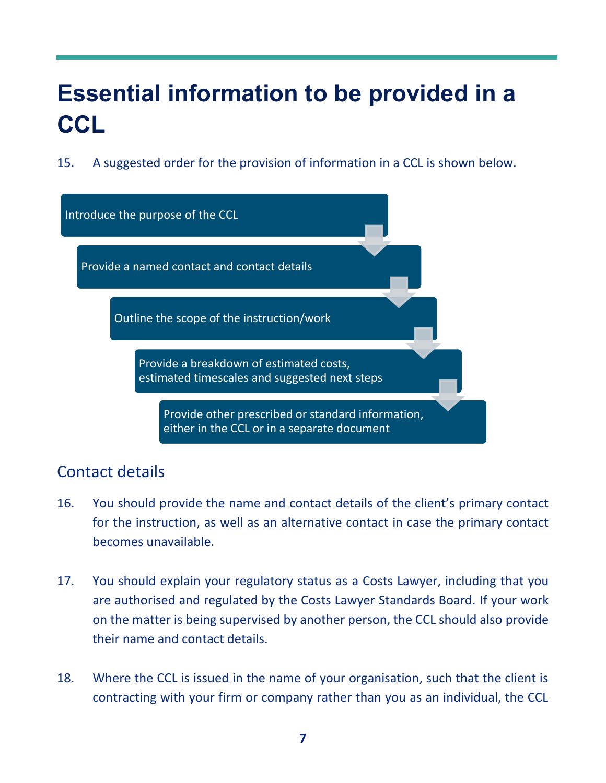## <span id="page-6-0"></span>**Essential information to be provided in a CCL**

15. A suggested order for the provision of information in a CCL is shown below.



### <span id="page-6-1"></span>Contact details

- 16. You should provide the name and contact details of the client's primary contact for the instruction, as well as an alternative contact in case the primary contact becomes unavailable.
- 17. You should explain your regulatory status as a Costs Lawyer, including that you are authorised and regulated by the Costs Lawyer Standards Board. If your work on the matter is being supervised by another person, the CCL should also provide their name and contact details.
- 18. Where the CCL is issued in the name of your organisation, such that the client is contracting with your firm or company rather than you as an individual, the CCL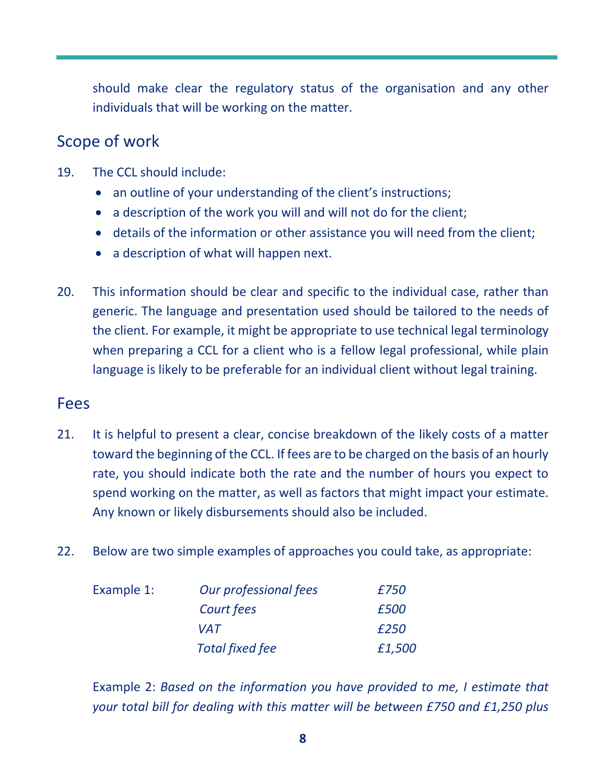should make clear the regulatory status of the organisation and any other individuals that will be working on the matter.

#### <span id="page-7-0"></span>Scope of work

- 19. The CCL should include:
	- an outline of your understanding of the client's instructions;
	- a description of the work you will and will not do for the client;
	- details of the information or other assistance you will need from the client;
	- a description of what will happen next.
- 20. This information should be clear and specific to the individual case, rather than generic. The language and presentation used should be tailored to the needs of the client. For example, it might be appropriate to use technical legal terminology when preparing a CCL for a client who is a fellow legal professional, while plain language is likely to be preferable for an individual client without legal training.

#### <span id="page-7-1"></span>Fees

- 21. It is helpful to present a clear, concise breakdown of the likely costs of a matter toward the beginning of the CCL. If fees are to be charged on the basis of an hourly rate, you should indicate both the rate and the number of hours you expect to spend working on the matter, as well as factors that might impact your estimate. Any known or likely disbursements should also be included.
- 22. Below are two simple examples of approaches you could take, as appropriate:

| Example 1: | Our professional fees  | £750   |
|------------|------------------------|--------|
|            | Court fees             | £500   |
|            | VAT                    | £250   |
|            | <b>Total fixed fee</b> | £1,500 |

Example 2: *Based on the information you have provided to me, I estimate that your total bill for dealing with this matter will be between £750 and £1,250 plus*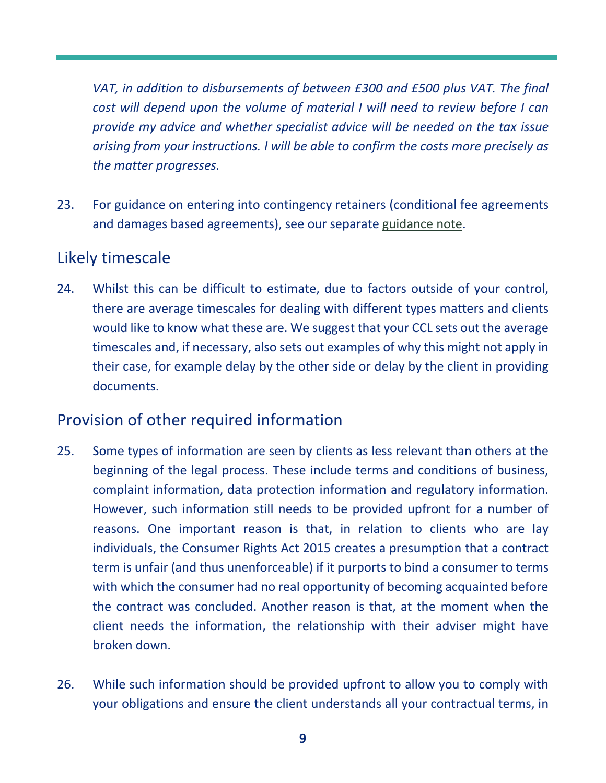*VAT, in addition to disbursements of between £300 and £500 plus VAT. The final cost will depend upon the volume of material I will need to review before I can provide my advice and whether specialist advice will be needed on the tax issue arising from your instructions. I will be able to confirm the costs more precisely as the matter progresses.*

23. For guidance on entering into contingency retainers (conditional fee agreements and damages based agreements), see our separate [guidance note.](https://clsb.info/for-costs-lawyers/costs-lawyer-handbook/)

#### <span id="page-8-0"></span>Likely timescale

24. Whilst this can be difficult to estimate, due to factors outside of your control, there are average timescales for dealing with different types matters and clients would like to know what these are. We suggest that your CCL sets out the average timescales and, if necessary, also sets out examples of why this might not apply in their case, for example delay by the other side or delay by the client in providing documents.

#### <span id="page-8-1"></span>Provision of other required information

- 25. Some types of information are seen by clients as less relevant than others at the beginning of the legal process. These include terms and conditions of business, complaint information, data protection information and regulatory information. However, such information still needs to be provided upfront for a number of reasons. One important reason is that, in relation to clients who are lay individuals, the Consumer Rights Act 2015 creates a presumption that a contract term is unfair (and thus unenforceable) if it purports to bind a consumer to terms with which the consumer had no real opportunity of becoming acquainted before the contract was concluded. Another reason is that, at the moment when the client needs the information, the relationship with their adviser might have broken down.
- 26. While such information should be provided upfront to allow you to comply with your obligations and ensure the client understands all your contractual terms, in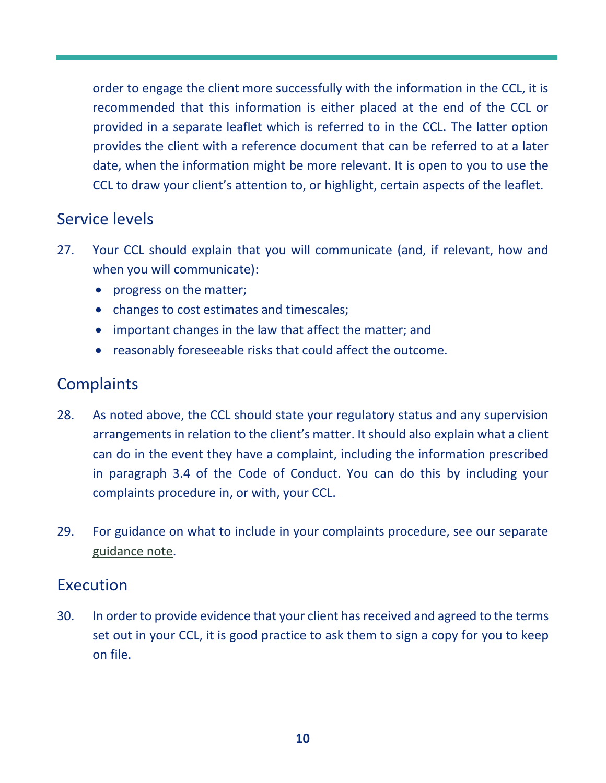order to engage the client more successfully with the information in the CCL, it is recommended that this information is either placed at the end of the CCL or provided in a separate leaflet which is referred to in the CCL. The latter option provides the client with a reference document that can be referred to at a later date, when the information might be more relevant. It is open to you to use the CCL to draw your client's attention to, or highlight, certain aspects of the leaflet.

#### <span id="page-9-0"></span>Service levels

- 27. Your CCL should explain that you will communicate (and, if relevant, how and when you will communicate):
	- progress on the matter;
	- changes to cost estimates and timescales;
	- important changes in the law that affect the matter; and
	- reasonably foreseeable risks that could affect the outcome.

### <span id="page-9-1"></span>**Complaints**

- 28. As noted above, the CCL should state your regulatory status and any supervision arrangements in relation to the client's matter. It should also explain what a client can do in the event they have a complaint, including the information prescribed in paragraph 3.4 of the Code of Conduct. You can do this by including your complaints procedure in, or with, your CCL.
- 29. For guidance on what to include in your complaints procedure, see our separate [guidance note.](https://clsb.info/for-costs-lawyers/costs-lawyer-handbook/)

#### <span id="page-9-2"></span>Execution

30. In order to provide evidence that your client has received and agreed to the terms set out in your CCL, it is good practice to ask them to sign a copy for you to keep on file.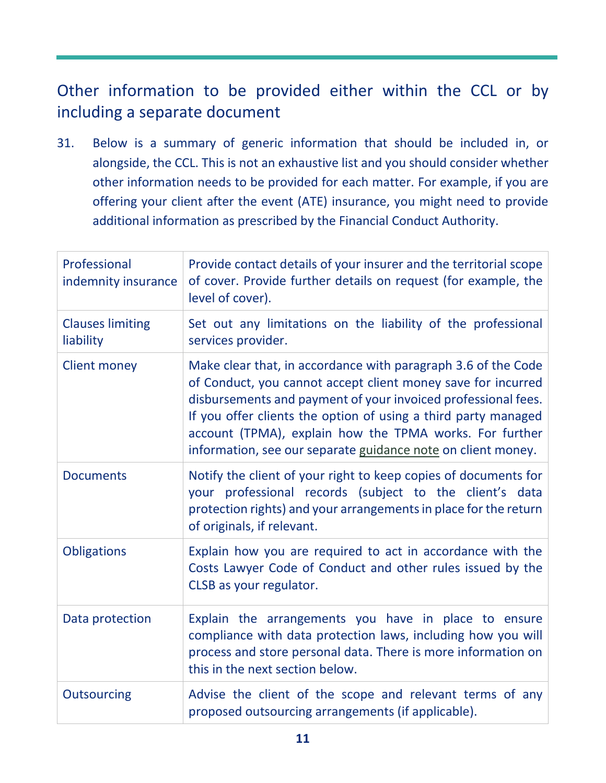### <span id="page-10-0"></span>Other information to be provided either within the CCL or by including a separate document

31. Below is a summary of generic information that should be included in, or alongside, the CCL. This is not an exhaustive list and you should consider whether other information needs to be provided for each matter. For example, if you are offering your client after the event (ATE) insurance, you might need to provide additional information as prescribed by the Financial Conduct Authority.

| Professional<br>indemnity insurance  | Provide contact details of your insurer and the territorial scope<br>of cover. Provide further details on request (for example, the<br>level of cover).                                                                                                                                                                                                                                     |  |
|--------------------------------------|---------------------------------------------------------------------------------------------------------------------------------------------------------------------------------------------------------------------------------------------------------------------------------------------------------------------------------------------------------------------------------------------|--|
| <b>Clauses limiting</b><br>liability | Set out any limitations on the liability of the professional<br>services provider.                                                                                                                                                                                                                                                                                                          |  |
| <b>Client money</b>                  | Make clear that, in accordance with paragraph 3.6 of the Code<br>of Conduct, you cannot accept client money save for incurred<br>disbursements and payment of your invoiced professional fees.<br>If you offer clients the option of using a third party managed<br>account (TPMA), explain how the TPMA works. For further<br>information, see our separate guidance note on client money. |  |
| <b>Documents</b>                     | Notify the client of your right to keep copies of documents for<br>your professional records (subject to the client's data<br>protection rights) and your arrangements in place for the return<br>of originals, if relevant.                                                                                                                                                                |  |
| <b>Obligations</b>                   | Explain how you are required to act in accordance with the<br>Costs Lawyer Code of Conduct and other rules issued by the<br>CLSB as your regulator.                                                                                                                                                                                                                                         |  |
| Data protection                      | Explain the arrangements you have in place to ensure<br>compliance with data protection laws, including how you will<br>process and store personal data. There is more information on<br>this in the next section below.                                                                                                                                                                    |  |
| <b>Outsourcing</b>                   | Advise the client of the scope and relevant terms of any<br>proposed outsourcing arrangements (if applicable).                                                                                                                                                                                                                                                                              |  |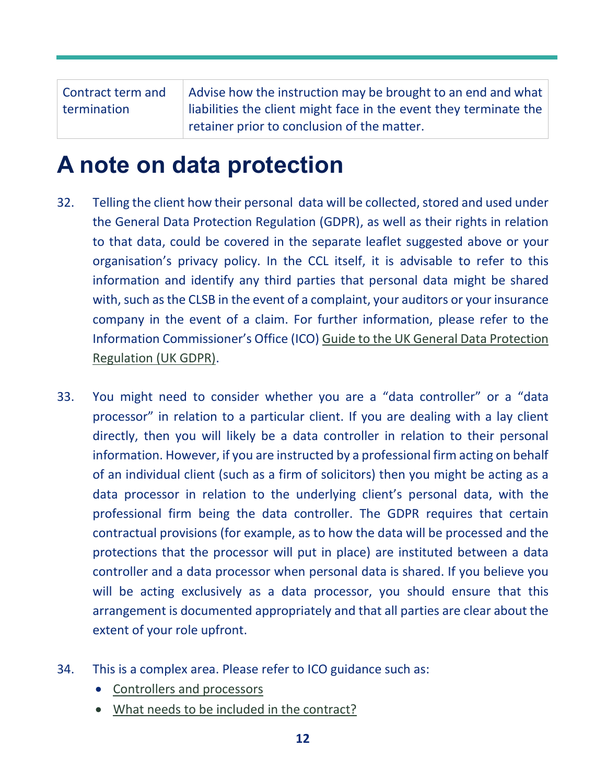Contract term and termination Advise how the instruction may be brought to an end and what liabilities the client might face in the event they terminate the retainer prior to conclusion of the matter.

### <span id="page-11-0"></span>**A note on data protection**

- 32. Telling the client how their personal data will be collected, stored and used under the General Data Protection Regulation (GDPR), as well as their rights in relation to that data, could be covered in the separate leaflet suggested above or your organisation's privacy policy. In the CCL itself, it is advisable to refer to this information and identify any third parties that personal data might be shared with, such as the CLSB in the event of a complaint, your auditors or your insurance company in the event of a claim. For further information, please refer to the Information Commissioner's Office (ICO) [Guide to the UK General Data Protection](https://ico.org.uk/for-organisations/guide-to-data-protection/guide-to-the-general-data-protection-regulation-gdpr/)  [Regulation \(UK GDPR\).](https://ico.org.uk/for-organisations/guide-to-data-protection/guide-to-the-general-data-protection-regulation-gdpr/)
- 33. You might need to consider whether you are a "data controller" or a "data processor" in relation to a particular client. If you are dealing with a lay client directly, then you will likely be a data controller in relation to their personal information. However, if you are instructed by a professional firm acting on behalf of an individual client (such as a firm of solicitors) then you might be acting as a data processor in relation to the underlying client's personal data, with the professional firm being the data controller. The GDPR requires that certain contractual provisions (for example, as to how the data will be processed and the protections that the processor will put in place) are instituted between a data controller and a data processor when personal data is shared. If you believe you will be acting exclusively as a data processor, you should ensure that this arrangement is documented appropriately and that all parties are clear about the extent of your role upfront.
- 34. This is a complex area. Please refer to ICO guidance such as:
	- [Controllers and processors](https://ico.org.uk/for-organisations/guide-to-data-protection/guide-to-the-general-data-protection-regulation-gdpr/key-definitions/controllers-and-processors/)
	- [What needs to be included in the contract?](https://ico.org.uk/for-organisations/guide-to-data-protection/guide-to-the-general-data-protection-regulation-gdpr/contracts-and-liabilities-between-controllers-and-processors-multi/what-needs-to-be-included-in-the-contract/#1)